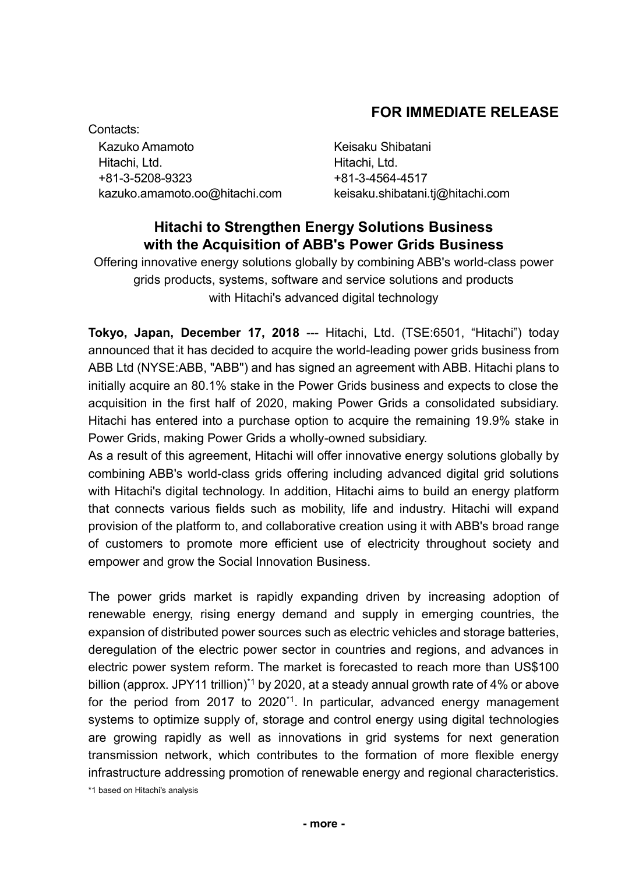# **FOR IMMEDIATE RELEASE**

Contacts: Kazuko Amamoto **Keisaku Shibatani** Hitachi, Ltd. Hitachi, Ltd. +81-3-5208-9323 +81-3-4564-4517 kazuko.amamoto.oo@hitachi.com keisaku.shibatani.tj@hitachi.com

# **Hitachi to Strengthen Energy Solutions Business with the Acquisition of ABB's Power Grids Business**

Offering innovative energy solutions globally by combining ABB's world-class power grids products, systems, software and service solutions and products with Hitachi's advanced digital technology

**Tokyo, Japan, December 17, 2018** --- Hitachi, Ltd. (TSE:6501, "Hitachi") today announced that it has decided to acquire the world-leading power grids business from ABB Ltd (NYSE:ABB, "ABB") and has signed an agreement with ABB. Hitachi plans to initially acquire an 80.1% stake in the Power Grids business and expects to close the acquisition in the first half of 2020, making Power Grids a consolidated subsidiary. Hitachi has entered into a purchase option to acquire the remaining 19.9% stake in Power Grids, making Power Grids a wholly-owned subsidiary.

As a result of this agreement, Hitachi will offer innovative energy solutions globally by combining ABB's world-class grids offering including advanced digital grid solutions with Hitachi's digital technology. In addition, Hitachi aims to build an energy platform that connects various fields such as mobility, life and industry. Hitachi will expand provision of the platform to, and collaborative creation using it with ABB's broad range of customers to promote more efficient use of electricity throughout society and empower and grow the Social Innovation Business.

The power grids market is rapidly expanding driven by increasing adoption of renewable energy, rising energy demand and supply in emerging countries, the expansion of distributed power sources such as electric vehicles and storage batteries, deregulation of the electric power sector in countries and regions, and advances in electric power system reform. The market is forecasted to reach more than US\$100 billion (approx. JPY11 trillion)<sup>\*1</sup> by 2020, at a steady annual growth rate of 4% or above for the period from 2017 to 2020<sup>\*1</sup>. In particular, advanced energy management systems to optimize supply of, storage and control energy using digital technologies are growing rapidly as well as innovations in grid systems for next generation transmission network, which contributes to the formation of more flexible energy infrastructure addressing promotion of renewable energy and regional characteristics.

\*1 based on Hitachi's analysis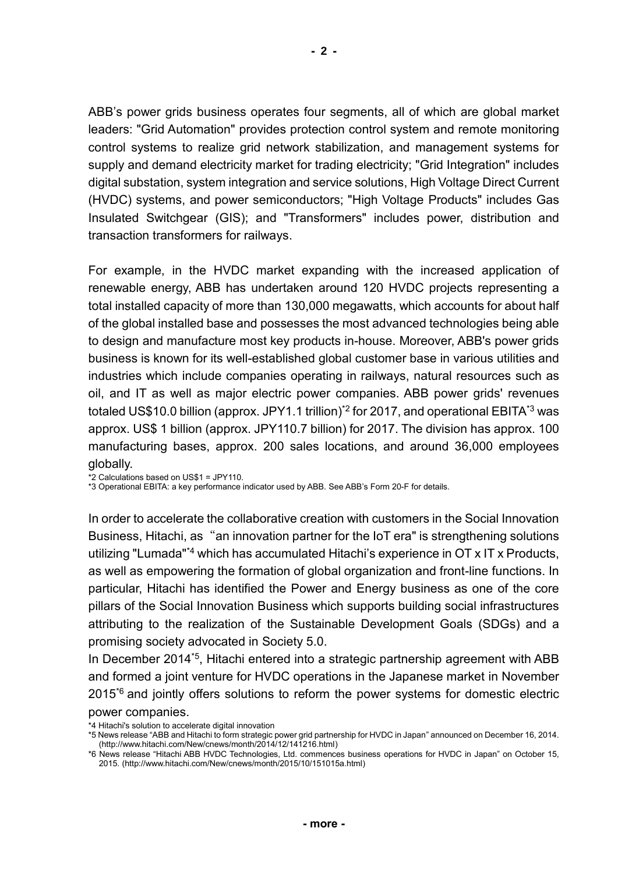ABB's power grids business operates four segments, all of which are global market leaders: "Grid Automation" provides protection control system and remote monitoring control systems to realize grid network stabilization, and management systems for supply and demand electricity market for trading electricity; "Grid Integration" includes digital substation, system integration and service solutions, High Voltage Direct Current (HVDC) systems, and power semiconductors; "High Voltage Products" includes Gas Insulated Switchgear (GIS); and "Transformers" includes power, distribution and transaction transformers for railways.

For example, in the HVDC market expanding with the increased application of renewable energy, ABB has undertaken around 120 HVDC projects representing a total installed capacity of more than 130,000 megawatts, which accounts for about half of the global installed base and possesses the most advanced technologies being able to design and manufacture most key products in-house. Moreover, ABB's power grids business is known for its well-established global customer base in various utilities and industries which include companies operating in railways, natural resources such as oil, and IT as well as major electric power companies. ABB power grids' revenues totaled US\$10.0 billion (approx. JPY1.1 trillion)<sup>\*2</sup> for 2017, and operational EBITA<sup>\*3</sup> was approx. US\$ 1 billion (approx. JPY110.7 billion) for 2017. The division has approx. 100 manufacturing bases, approx. 200 sales locations, and around 36,000 employees globally.

\*2 Calculations based on US\$1 = JPY110.

\*3 Operational EBITA: a key performance indicator used by ABB. See ABB's Form 20-F for details.

In order to accelerate the collaborative creation with customers in the Social Innovation Business, Hitachi, as "an innovation partner for the IoT era" is strengthening solutions utilizing "Lumada"\*4 which has accumulated Hitachi's experience in OT x IT x Products, as well as empowering the formation of global organization and front-line functions. In particular, Hitachi has identified the Power and Energy business as one of the core pillars of the Social Innovation Business which supports building social infrastructures attributing to the realization of the Sustainable Development Goals (SDGs) and a promising society advocated in Society 5.0.

In December 2014\*5 , Hitachi entered into a strategic partnership agreement with ABB and formed a joint venture for HVDC operations in the Japanese market in November 2015\*6 and jointly offers solutions to reform the power systems for domestic electric power companies.

\*4 Hitachi's solution to accelerate digital innovation

<sup>\*5</sup> News release "ABB and Hitachi to form strategic power grid partnership for HVDC in Japan" announced on December 16, 2014. (http://www.hitachi.com/New/cnews/month/2014/12/141216.html)

<sup>\*6</sup> News release "Hitachi ABB HVDC Technologies, Ltd. commences business operations for HVDC in Japan" on October 15, 2015. (http://www.hitachi.com/New/cnews/month/2015/10/151015a.html)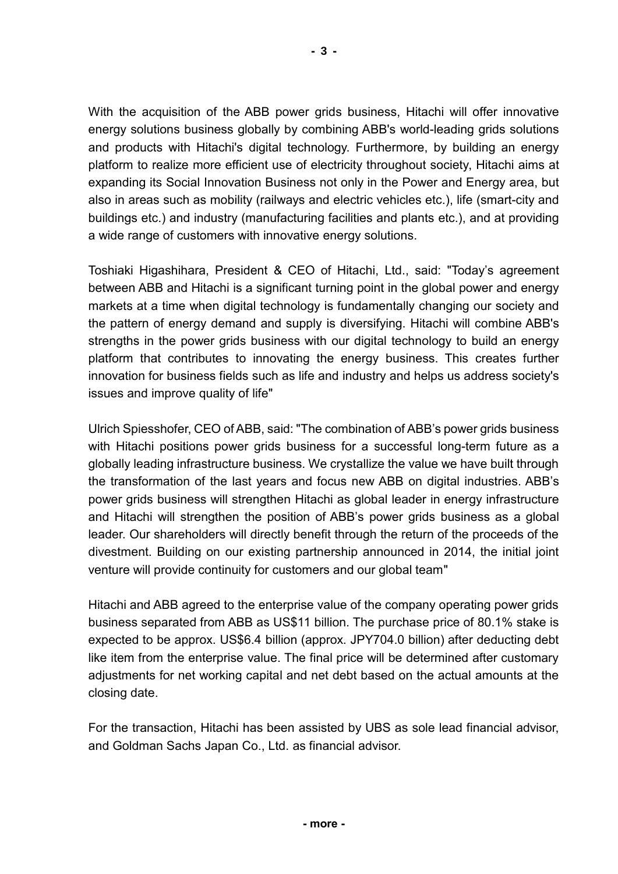With the acquisition of the ABB power grids business, Hitachi will offer innovative energy solutions business globally by combining ABB's world-leading grids solutions and products with Hitachi's digital technology. Furthermore, by building an energy platform to realize more efficient use of electricity throughout society, Hitachi aims at expanding its Social Innovation Business not only in the Power and Energy area, but also in areas such as mobility (railways and electric vehicles etc.), life (smart-city and buildings etc.) and industry (manufacturing facilities and plants etc.), and at providing a wide range of customers with innovative energy solutions.

Toshiaki Higashihara, President & CEO of Hitachi, Ltd., said: "Today's agreement between ABB and Hitachi is a significant turning point in the global power and energy markets at a time when digital technology is fundamentally changing our society and the pattern of energy demand and supply is diversifying. Hitachi will combine ABB's strengths in the power grids business with our digital technology to build an energy platform that contributes to innovating the energy business. This creates further innovation for business fields such as life and industry and helps us address society's issues and improve quality of life"

Ulrich Spiesshofer, CEO of ABB, said: "The combination of ABB's power grids business with Hitachi positions power grids business for a successful long-term future as a globally leading infrastructure business. We crystallize the value we have built through the transformation of the last years and focus new ABB on digital industries. ABB's power grids business will strengthen Hitachi as global leader in energy infrastructure and Hitachi will strengthen the position of ABB's power grids business as a global leader. Our shareholders will directly benefit through the return of the proceeds of the divestment. Building on our existing partnership announced in 2014, the initial joint venture will provide continuity for customers and our global team"

Hitachi and ABB agreed to the enterprise value of the company operating power grids business separated from ABB as US\$11 billion. The purchase price of 80.1% stake is expected to be approx. US\$6.4 billion (approx. JPY704.0 billion) after deducting debt like item from the enterprise value. The final price will be determined after customary adjustments for net working capital and net debt based on the actual amounts at the closing date.

For the transaction, Hitachi has been assisted by UBS as sole lead financial advisor, and Goldman Sachs Japan Co., Ltd. as financial advisor.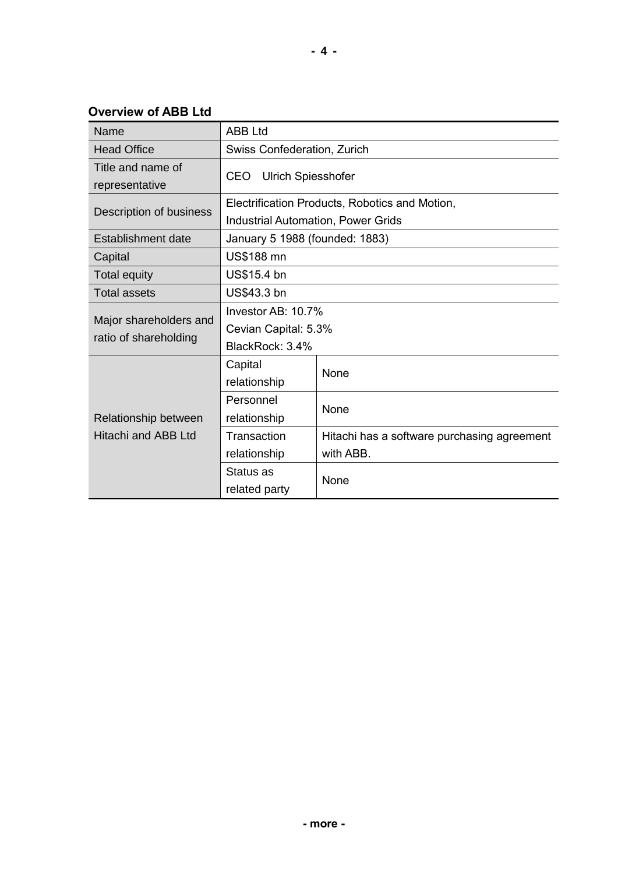**Overview of ABB Ltd**

| Name                                            | <b>ABB Ltd</b>                                 |                                             |  |  |  |
|-------------------------------------------------|------------------------------------------------|---------------------------------------------|--|--|--|
| <b>Head Office</b>                              | Swiss Confederation, Zurich                    |                                             |  |  |  |
| Title and name of<br>representative             | <b>Ulrich Spiesshofer</b><br><b>CEO</b>        |                                             |  |  |  |
| Description of business                         | Electrification Products, Robotics and Motion, |                                             |  |  |  |
|                                                 | <b>Industrial Automation, Power Grids</b>      |                                             |  |  |  |
| Establishment date                              | January 5 1988 (founded: 1883)                 |                                             |  |  |  |
| Capital                                         | US\$188 mn                                     |                                             |  |  |  |
| <b>Total equity</b>                             | US\$15.4 bn                                    |                                             |  |  |  |
| <b>Total assets</b>                             | US\$43.3 bn                                    |                                             |  |  |  |
| Major shareholders and<br>ratio of shareholding | Investor AB: 10.7%                             |                                             |  |  |  |
|                                                 | Cevian Capital: 5.3%                           |                                             |  |  |  |
|                                                 | BlackRock: 3.4%                                |                                             |  |  |  |
| Relationship between<br>Hitachi and ABB Ltd     | Capital                                        | None                                        |  |  |  |
|                                                 | relationship                                   |                                             |  |  |  |
|                                                 | Personnel                                      |                                             |  |  |  |
|                                                 | relationship                                   | None                                        |  |  |  |
|                                                 | Transaction                                    | Hitachi has a software purchasing agreement |  |  |  |
|                                                 | relationship                                   | with ABB.                                   |  |  |  |
|                                                 | Status as                                      | None                                        |  |  |  |
|                                                 | related party                                  |                                             |  |  |  |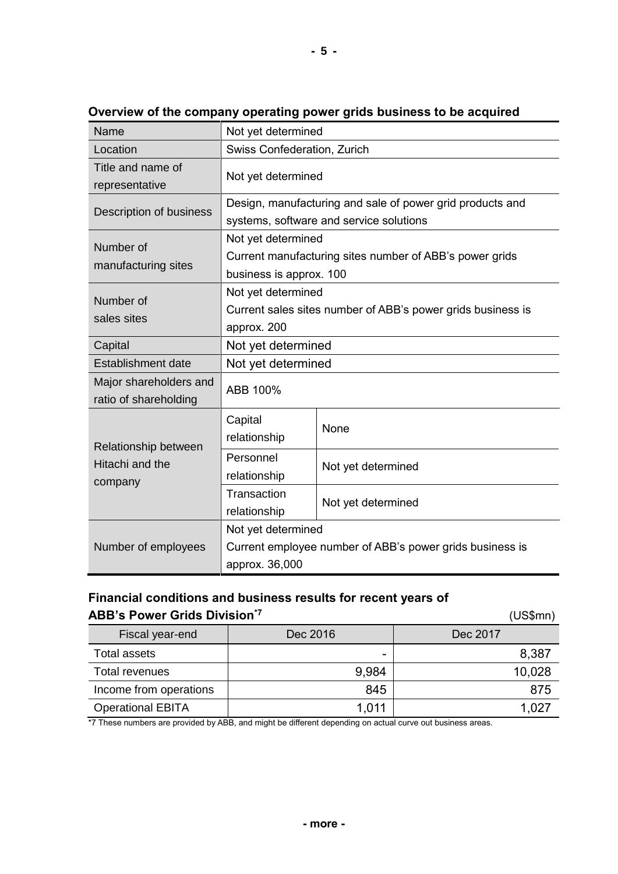| Name                                               | Not yet determined                                                                                       |                    |  |  |  |
|----------------------------------------------------|----------------------------------------------------------------------------------------------------------|--------------------|--|--|--|
| Location                                           | Swiss Confederation, Zurich                                                                              |                    |  |  |  |
| Title and name of<br>representative                | Not yet determined                                                                                       |                    |  |  |  |
| Description of business                            | Design, manufacturing and sale of power grid products and<br>systems, software and service solutions     |                    |  |  |  |
| Number of<br>manufacturing sites                   | Not yet determined<br>Current manufacturing sites number of ABB's power grids<br>business is approx. 100 |                    |  |  |  |
| Number of<br>sales sites                           | Not yet determined<br>Current sales sites number of ABB's power grids business is<br>approx. 200         |                    |  |  |  |
| Capital                                            | Not yet determined                                                                                       |                    |  |  |  |
| <b>Establishment date</b>                          | Not yet determined                                                                                       |                    |  |  |  |
| Major shareholders and<br>ratio of shareholding    | ABB 100%                                                                                                 |                    |  |  |  |
| Relationship between<br>Hitachi and the<br>company | Capital<br>relationship                                                                                  | None               |  |  |  |
|                                                    | Personnel<br>relationship                                                                                | Not yet determined |  |  |  |
|                                                    | Transaction<br>relationship                                                                              | Not yet determined |  |  |  |
| Number of employees                                | Not yet determined<br>Current employee number of ABB's power grids business is<br>approx. 36,000         |                    |  |  |  |

**Overview of the company operating power grids business to be acquired**

## **Financial conditions and business results for recent years of ABB's Power Grids Division\*7**

 (US\$mn) Fiscal year-end  $\vert$  Dec 2016  $\vert$  Dec 2017 Total assets - 8,387 Total revenues 10,028 Income from operations | and 845 | and 875 Operational EBITA 1,011 1,027

\*7 These numbers are provided by ABB, and might be different depending on actual curve out business areas.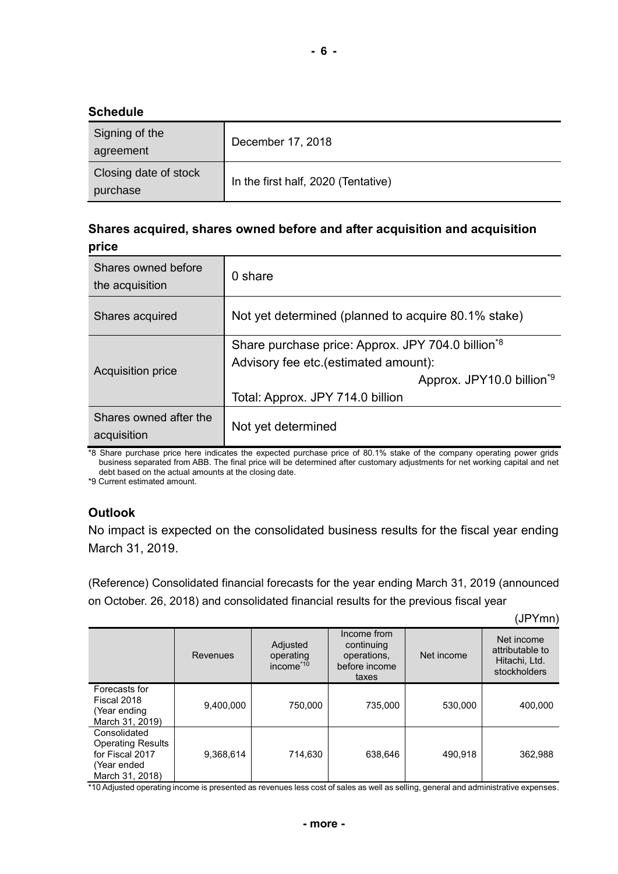#### **Schedule**

| Signing of the<br>agreement       | December 17, 2018                   |
|-----------------------------------|-------------------------------------|
| Closing date of stock<br>purchase | In the first half, 2020 (Tentative) |

### **Shares acquired, shares owned before and after acquisition and acquisition price**

| Shares owned before<br>the acquisition | $0 \;$ share                                                                                                                                                                        |
|----------------------------------------|-------------------------------------------------------------------------------------------------------------------------------------------------------------------------------------|
| Shares acquired                        | Not yet determined (planned to acquire 80.1% stake)                                                                                                                                 |
| <b>Acquisition price</b>               | Share purchase price: Approx. JPY 704.0 billion <sup>*8</sup><br>Advisory fee etc. (estimated amount):<br>Approx. JPY10.0 billion <sup>*9</sup><br>Total: Approx. JPY 714.0 billion |
| Shares owned after the<br>acquisition  | Not yet determined                                                                                                                                                                  |

\*8 Share purchase price here indicates the expected purchase price of 80.1% stake of the company operating power grids business separated from ABB. The final price will be determined after customary adjustments for net working capital and net debt based on the actual amounts at the closing date.

\*9 Current estimated amount.

### **Outlook**

No impact is expected on the consolidated business results for the fiscal year ending March 31, 2019.

(Reference) Consolidated financial forecasts for the year ending March 31, 2019 (announced on October. 26, 2018) and consolidated financial results for the previous fiscal year

(JPYmn)

|                                                                                               | Revenues  | Adjusted<br>operating<br>income <sup>*10</sup> | Income from<br>continuing<br>operations,<br>before income<br>taxes | Net income | Net income<br>attributable to<br>Hitachi, Ltd.<br>stockholders |
|-----------------------------------------------------------------------------------------------|-----------|------------------------------------------------|--------------------------------------------------------------------|------------|----------------------------------------------------------------|
| Forecasts for<br>Fiscal 2018<br>(Year ending<br>March 31, 2019)                               | 9,400,000 | 750,000                                        | 735,000                                                            | 530,000    | 400.000                                                        |
| Consolidated<br><b>Operating Results</b><br>for Fiscal 2017<br>(Year ended<br>March 31, 2018) | 9,368,614 | 714,630                                        | 638,646                                                            | 490,918    | 362,988                                                        |

\*10 Adjusted operating income is presented as revenues less cost of sales as well as selling, general and administrative expenses.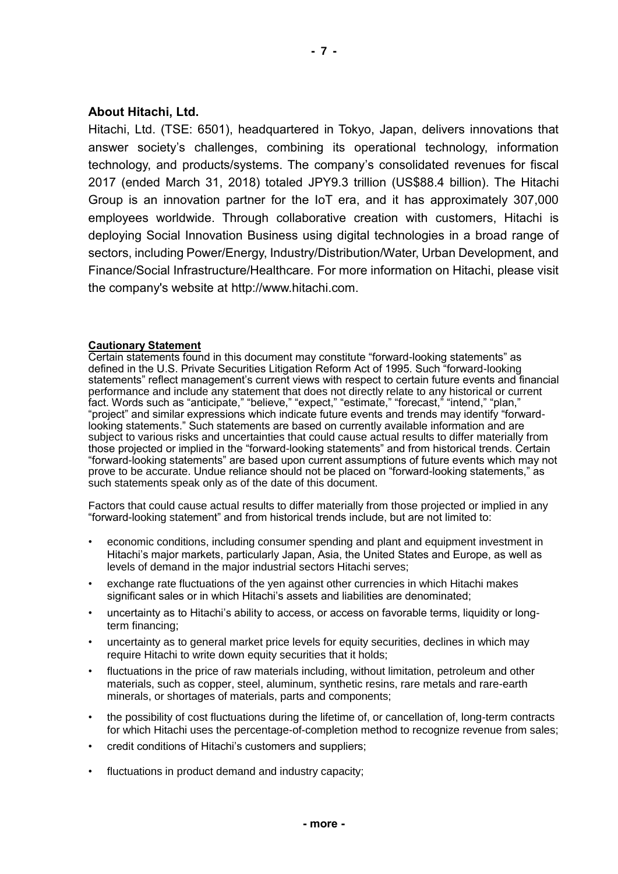#### **About Hitachi, Ltd.**

Hitachi, Ltd. (TSE: 6501), headquartered in Tokyo, Japan, delivers innovations that answer society's challenges, combining its operational technology, information technology, and products/systems. The company's consolidated revenues for fiscal 2017 (ended March 31, 2018) totaled JPY9.3 trillion (US\$88.4 billion). The Hitachi Group is an innovation partner for the IoT era, and it has approximately 307,000 employees worldwide. Through collaborative creation with customers, Hitachi is deploying Social Innovation Business using digital technologies in a broad range of sectors, including Power/Energy, Industry/Distribution/Water, Urban Development, and Finance/Social Infrastructure/Healthcare. For more information on Hitachi, please visit the company's website at http://www.hitachi.com.

#### **Cautionary Statement**

Certain statements found in this document may constitute "forward-looking statements" as defined in the U.S. Private Securities Litigation Reform Act of 1995. Such "forward-looking statements" reflect management's current views with respect to certain future events and financial performance and include any statement that does not directly relate to any historical or current fact. Words such as "anticipate," "believe," "expect," "estimate," "forecast," "intend," "plan," "project" and similar expressions which indicate future events and trends may identify "forwardlooking statements." Such statements are based on currently available information and are subject to various risks and uncertainties that could cause actual results to differ materially from those projected or implied in the "forward-looking statements" and from historical trends. Certain "forward-looking statements" are based upon current assumptions of future events which may not prove to be accurate. Undue reliance should not be placed on "forward-looking statements," as such statements speak only as of the date of this document.

Factors that could cause actual results to differ materially from those projected or implied in any "forward-looking statement" and from historical trends include, but are not limited to:

- economic conditions, including consumer spending and plant and equipment investment in Hitachi's major markets, particularly Japan, Asia, the United States and Europe, as well as levels of demand in the major industrial sectors Hitachi serves;
- exchange rate fluctuations of the yen against other currencies in which Hitachi makes significant sales or in which Hitachi's assets and liabilities are denominated;
- uncertainty as to Hitachi's ability to access, or access on favorable terms, liquidity or longterm financing;
- uncertainty as to general market price levels for equity securities, declines in which may require Hitachi to write down equity securities that it holds;
- fluctuations in the price of raw materials including, without limitation, petroleum and other materials, such as copper, steel, aluminum, synthetic resins, rare metals and rare-earth minerals, or shortages of materials, parts and components;
- the possibility of cost fluctuations during the lifetime of, or cancellation of, long-term contracts for which Hitachi uses the percentage-of-completion method to recognize revenue from sales;
- credit conditions of Hitachi's customers and suppliers;
- fluctuations in product demand and industry capacity;